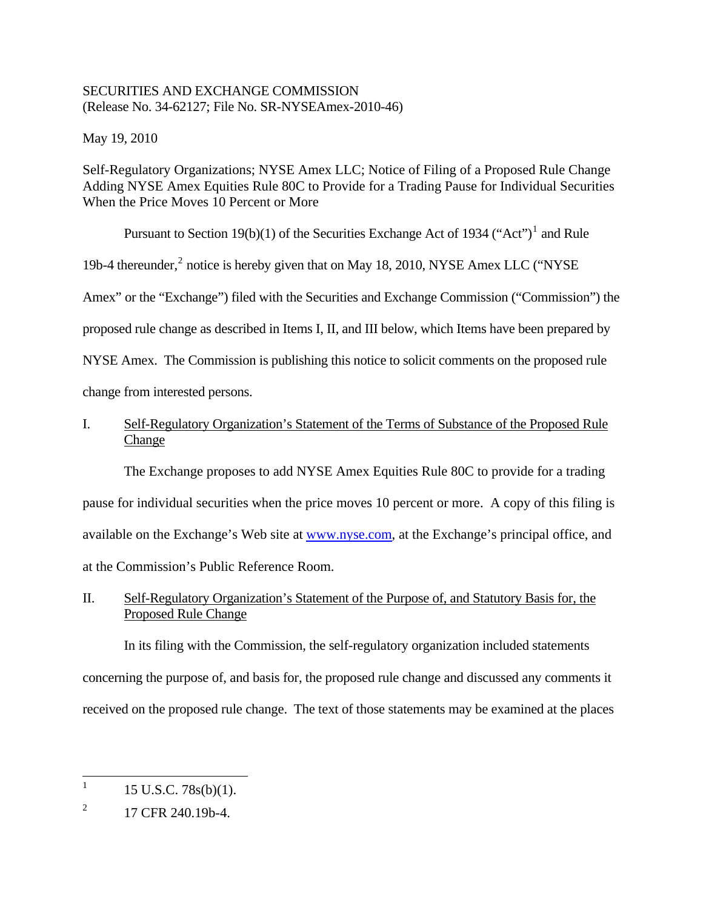## SECURITIES AND EXCHANGE COMMISSION (Release No. 34-62127; File No. SR-NYSEAmex-2010-46)

May 19, 2010

Self-Regulatory Organizations; NYSE Amex LLC; Notice of Filing of a Proposed Rule Change Adding NYSE Amex Equities Rule 80C to Provide for a Trading Pause for Individual Securities When the Price Moves 10 Percent or More

Pursuant to Section [1](#page-0-0)9(b)(1) of the Securities Exchange Act of 1934 ("Act")<sup>1</sup> and Rule 19b-4 thereunder,<sup>[2](#page-0-1)</sup> notice is hereby given that on May 18, 2010, NYSE Amex LLC ("NYSE Amex" or the "Exchange") filed with the Securities and Exchange Commission ("Commission") the proposed rule change as described in Items I, II, and III below, which Items have been prepared by NYSE Amex. The Commission is publishing this notice to solicit comments on the proposed rule change from interested persons.

# I. Self-Regulatory Organization's Statement of the Terms of Substance of the Proposed Rule Change

The Exchange proposes to add NYSE Amex Equities Rule 80C to provide for a trading pause for individual securities when the price moves 10 percent or more. A copy of this filing is available on the Exchange's Web site at [www.nyse.com,](http://www.nyse.com/) at the Exchange's principal office, and at the Commission's Public Reference Room.

# II. Self-Regulatory Organization's Statement of the Purpose of, and Statutory Basis for, the Proposed Rule Change

In its filing with the Commission, the self-regulatory organization included statements concerning the purpose of, and basis for, the proposed rule change and discussed any comments it received on the proposed rule change. The text of those statements may be examined at the places

<span id="page-0-0"></span><sup>|&</sup>lt;br>|<br>| 15 U.S.C. 78s(b)(1).

<span id="page-0-1"></span><sup>2</sup> 17 CFR 240.19b-4.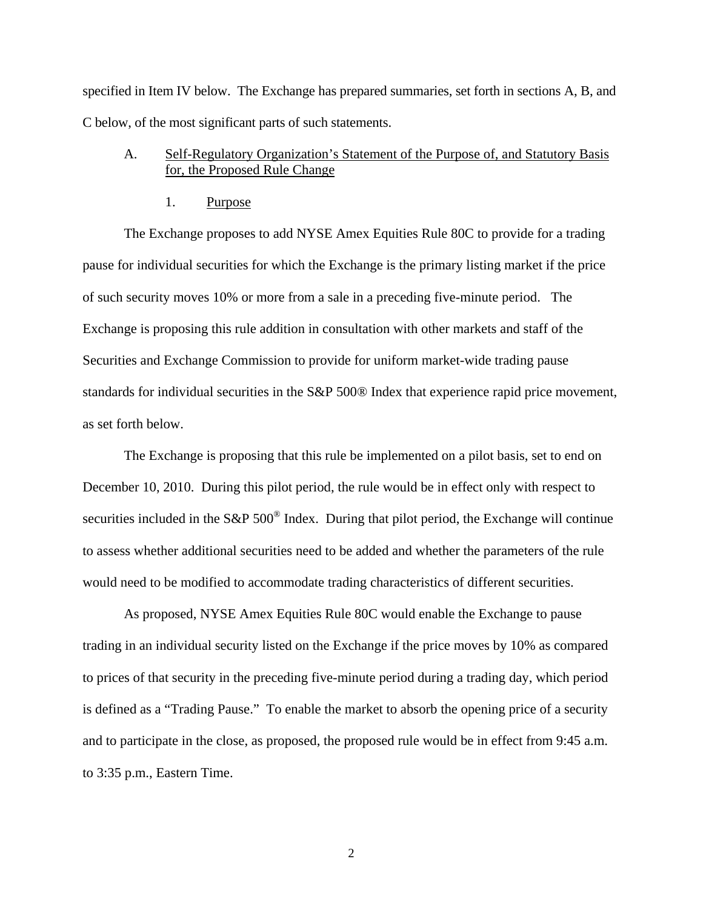specified in Item IV below. The Exchange has prepared summaries, set forth in sections A, B, and C below, of the most significant parts of such statements.

# A. Self-Regulatory Organization's Statement of the Purpose of, and Statutory Basis for, the Proposed Rule Change

1. Purpose

The Exchange proposes to add NYSE Amex Equities Rule 80C to provide for a trading pause for individual securities for which the Exchange is the primary listing market if the price of such security moves 10% or more from a sale in a preceding five-minute period. The Exchange is proposing this rule addition in consultation with other markets and staff of the Securities and Exchange Commission to provide for uniform market-wide trading pause standards for individual securities in the S&P 500® Index that experience rapid price movement, as set forth below.

The Exchange is proposing that this rule be implemented on a pilot basis, set to end on December 10, 2010. During this pilot period, the rule would be in effect only with respect to securities included in the S&P 500<sup>®</sup> Index. During that pilot period, the Exchange will continue to assess whether additional securities need to be added and whether the parameters of the rule would need to be modified to accommodate trading characteristics of different securities.

As proposed, NYSE Amex Equities Rule 80C would enable the Exchange to pause trading in an individual security listed on the Exchange if the price moves by 10% as compared to prices of that security in the preceding five-minute period during a trading day, which period is defined as a "Trading Pause." To enable the market to absorb the opening price of a security and to participate in the close, as proposed, the proposed rule would be in effect from 9:45 a.m. to 3:35 p.m., Eastern Time.

2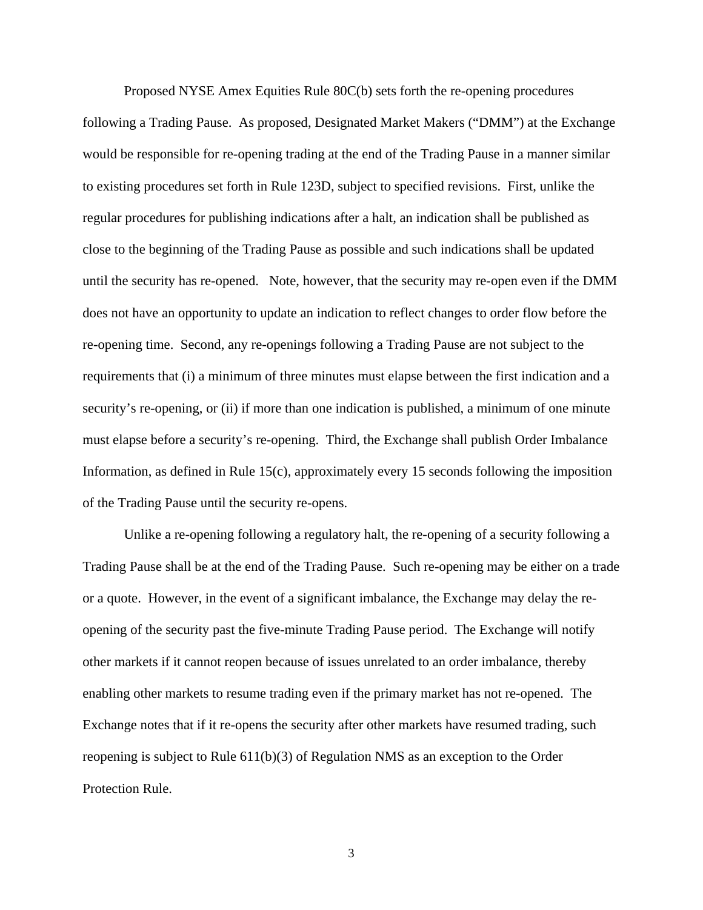Proposed NYSE Amex Equities Rule 80C(b) sets forth the re-opening procedures following a Trading Pause. As proposed, Designated Market Makers ("DMM") at the Exchange would be responsible for re-opening trading at the end of the Trading Pause in a manner similar to existing procedures set forth in Rule 123D, subject to specified revisions. First, unlike the regular procedures for publishing indications after a halt, an indication shall be published as close to the beginning of the Trading Pause as possible and such indications shall be updated until the security has re-opened. Note, however, that the security may re-open even if the DMM does not have an opportunity to update an indication to reflect changes to order flow before the re-opening time. Second, any re-openings following a Trading Pause are not subject to the requirements that (i) a minimum of three minutes must elapse between the first indication and a security's re-opening, or (ii) if more than one indication is published, a minimum of one minute must elapse before a security's re-opening. Third, the Exchange shall publish Order Imbalance Information, as defined in Rule 15(c), approximately every 15 seconds following the imposition of the Trading Pause until the security re-opens.

Unlike a re-opening following a regulatory halt, the re-opening of a security following a Trading Pause shall be at the end of the Trading Pause. Such re-opening may be either on a trade or a quote. However, in the event of a significant imbalance, the Exchange may delay the reopening of the security past the five-minute Trading Pause period. The Exchange will notify other markets if it cannot reopen because of issues unrelated to an order imbalance, thereby enabling other markets to resume trading even if the primary market has not re-opened. The Exchange notes that if it re-opens the security after other markets have resumed trading, such reopening is subject to Rule 611(b)(3) of Regulation NMS as an exception to the Order Protection Rule.

3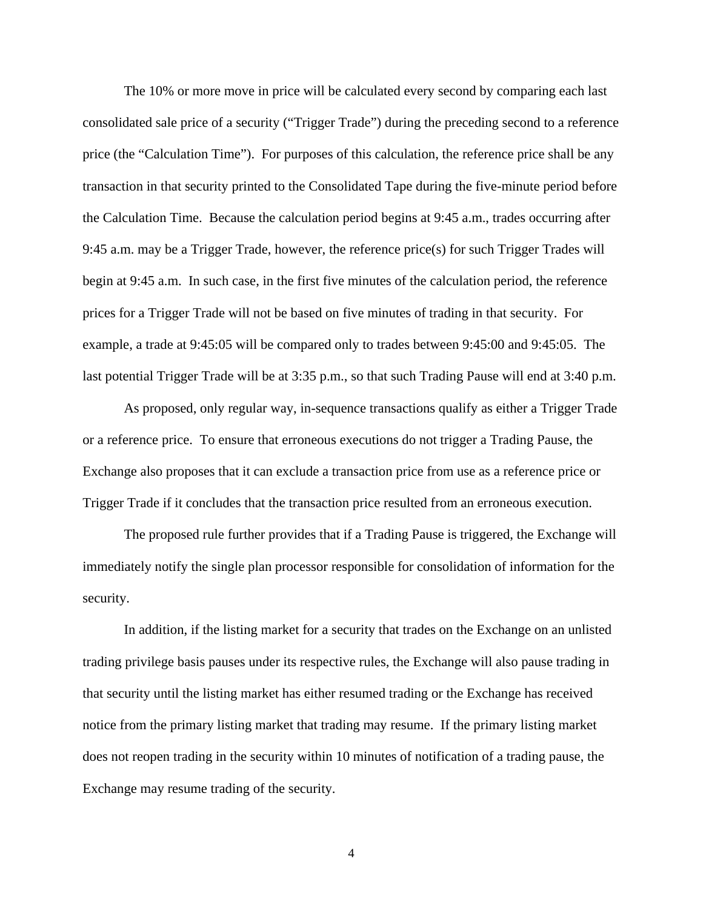The 10% or more move in price will be calculated every second by comparing each last consolidated sale price of a security ("Trigger Trade") during the preceding second to a reference price (the "Calculation Time"). For purposes of this calculation, the reference price shall be any transaction in that security printed to the Consolidated Tape during the five-minute period before the Calculation Time. Because the calculation period begins at 9:45 a.m., trades occurring after 9:45 a.m. may be a Trigger Trade, however, the reference price(s) for such Trigger Trades will begin at 9:45 a.m. In such case, in the first five minutes of the calculation period, the reference prices for a Trigger Trade will not be based on five minutes of trading in that security. For example, a trade at 9:45:05 will be compared only to trades between 9:45:00 and 9:45:05. The last potential Trigger Trade will be at 3:35 p.m., so that such Trading Pause will end at 3:40 p.m.

As proposed, only regular way, in-sequence transactions qualify as either a Trigger Trade or a reference price. To ensure that erroneous executions do not trigger a Trading Pause, the Exchange also proposes that it can exclude a transaction price from use as a reference price or Trigger Trade if it concludes that the transaction price resulted from an erroneous execution.

The proposed rule further provides that if a Trading Pause is triggered, the Exchange will immediately notify the single plan processor responsible for consolidation of information for the security.

In addition, if the listing market for a security that trades on the Exchange on an unlisted trading privilege basis pauses under its respective rules, the Exchange will also pause trading in that security until the listing market has either resumed trading or the Exchange has received notice from the primary listing market that trading may resume. If the primary listing market does not reopen trading in the security within 10 minutes of notification of a trading pause, the Exchange may resume trading of the security.

4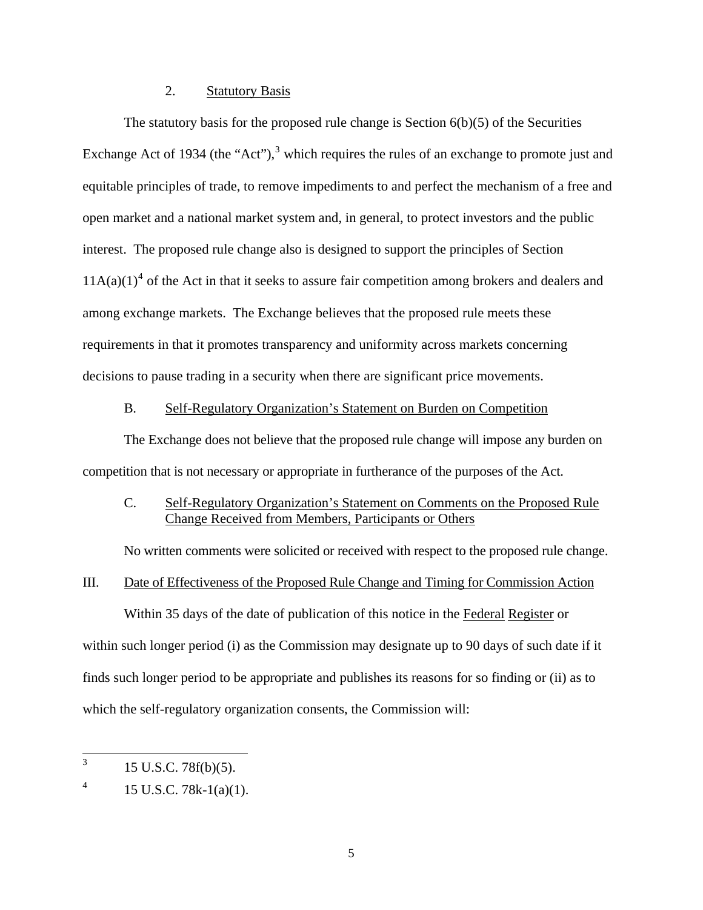### 2. Statutory Basis

The statutory basis for the proposed rule change is Section 6(b)(5) of the Securities Exchange Act of 19[3](#page-4-0)4 (the "Act"), $3$  which requires the rules of an exchange to promote just and equitable principles of trade, to remove impediments to and perfect the mechanism of a free and open market and a national market system and, in general, to protect investors and the public interest. The proposed rule change also is designed to support the principles of Section  $11A(a)(1)<sup>4</sup>$  $11A(a)(1)<sup>4</sup>$  $11A(a)(1)<sup>4</sup>$  of the Act in that it seeks to assure fair competition among brokers and dealers and among exchange markets. The Exchange believes that the proposed rule meets these requirements in that it promotes transparency and uniformity across markets concerning decisions to pause trading in a security when there are significant price movements.

#### B. Self-Regulatory Organization's Statement on Burden on Competition

The Exchange does not believe that the proposed rule change will impose any burden on competition that is not necessary or appropriate in furtherance of the purposes of the Act.

## C. Self-Regulatory Organization's Statement on Comments on the Proposed Rule Change Received from Members, Participants or Others

No written comments were solicited or received with respect to the proposed rule change.

### III. Date of Effectiveness of the Proposed Rule Change and Timing for Commission Action

Within 35 days of the date of publication of this notice in the Federal Register or within such longer period (i) as the Commission may designate up to 90 days of such date if it finds such longer period to be appropriate and publishes its reasons for so finding or (ii) as to which the self-regulatory organization consents, the Commission will:

<span id="page-4-0"></span> 3 15 U.S.C. 78f(b)(5).

<span id="page-4-1"></span><sup>4</sup> 15 U.S.C. 78k-1(a)(1).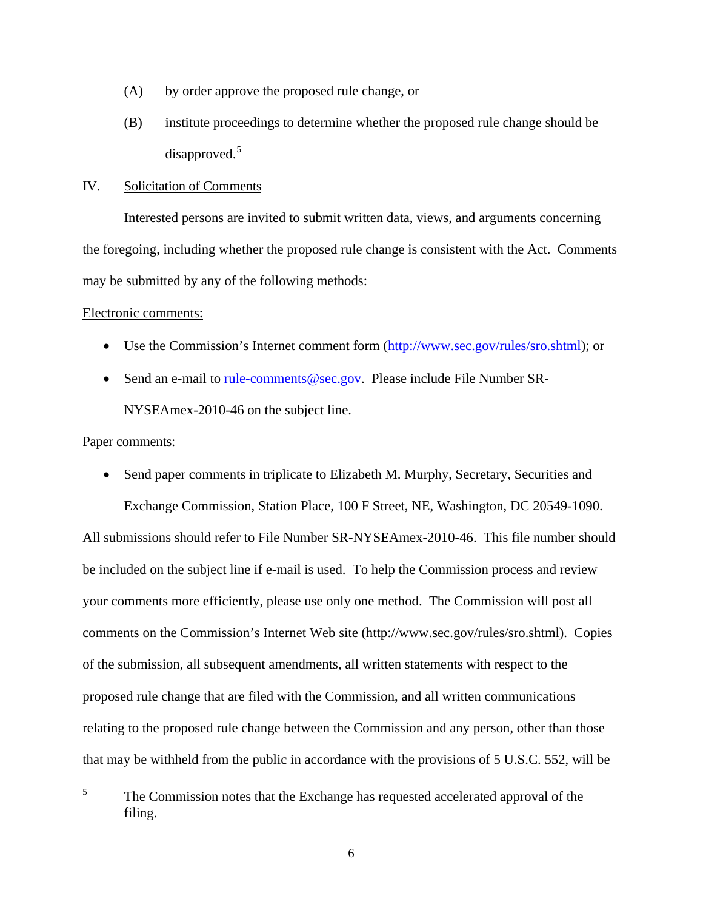- (A) by order approve the proposed rule change, or
- (B) institute proceedings to determine whether the proposed rule change should be disapproved.<sup>[5](#page-5-0)</sup>

#### IV. Solicitation of Comments

Interested persons are invited to submit written data, views, and arguments concerning the foregoing, including whether the proposed rule change is consistent with the Act. Comments may be submitted by any of the following methods:

#### Electronic comments:

- Use the Commission's Internet comment form (<http://www.sec.gov/rules/sro.shtml>); or
- Send an e-mail to [rule-comments@sec.gov.](mailto:rule-comments@sec.gov) Please include File Number SR-NYSEAmex-2010-46 on the subject line.

### Paper comments:

• Send paper comments in triplicate to Elizabeth M. Murphy, Secretary, Securities and Exchange Commission, Station Place, 100 F Street, NE, Washington, DC 20549-1090.

All submissions should refer to File Number SR-NYSEAmex-2010-46. This file number should be included on the subject line if e-mail is used. To help the Commission process and review your comments more efficiently, please use only one method. The Commission will post all comments on the Commission's Internet Web site (http://www.sec.gov/rules/sro.shtml). Copies of the submission, all subsequent amendments, all written statements with respect to the proposed rule change that are filed with the Commission, and all written communications relating to the proposed rule change between the Commission and any person, other than those that may be withheld from the public in accordance with the provisions of 5 U.S.C. 552, will be

<span id="page-5-0"></span> 5 The Commission notes that the Exchange has requested accelerated approval of the filing.